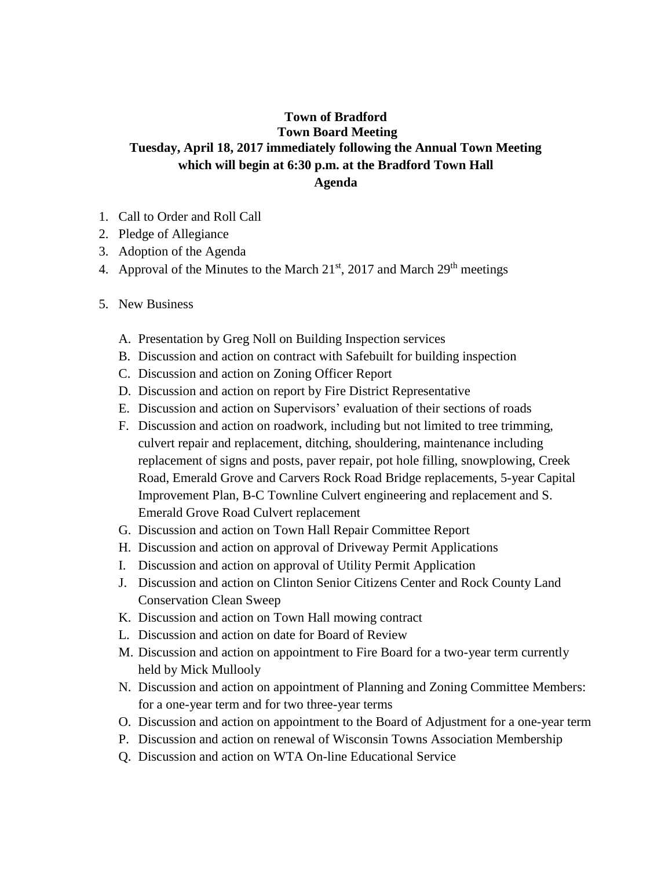## **Town of Bradford Town Board Meeting Tuesday, April 18, 2017 immediately following the Annual Town Meeting which will begin at 6:30 p.m. at the Bradford Town Hall Agenda**

- 1. Call to Order and Roll Call
- 2. Pledge of Allegiance
- 3. Adoption of the Agenda
- 4. Approval of the Minutes to the March  $21<sup>st</sup>$ , 2017 and March  $29<sup>th</sup>$  meetings
- 5. New Business
	- A. Presentation by Greg Noll on Building Inspection services
	- B. Discussion and action on contract with Safebuilt for building inspection
	- C. Discussion and action on Zoning Officer Report
	- D. Discussion and action on report by Fire District Representative
	- E. Discussion and action on Supervisors' evaluation of their sections of roads
	- F. Discussion and action on roadwork, including but not limited to tree trimming, culvert repair and replacement, ditching, shouldering, maintenance including replacement of signs and posts, paver repair, pot hole filling, snowplowing, Creek Road, Emerald Grove and Carvers Rock Road Bridge replacements, 5-year Capital Improvement Plan, B-C Townline Culvert engineering and replacement and S. Emerald Grove Road Culvert replacement
	- G. Discussion and action on Town Hall Repair Committee Report
	- H. Discussion and action on approval of Driveway Permit Applications
	- I. Discussion and action on approval of Utility Permit Application
	- J. Discussion and action on Clinton Senior Citizens Center and Rock County Land Conservation Clean Sweep
	- K. Discussion and action on Town Hall mowing contract
	- L. Discussion and action on date for Board of Review
	- M. Discussion and action on appointment to Fire Board for a two-year term currently held by Mick Mullooly
	- N. Discussion and action on appointment of Planning and Zoning Committee Members: for a one-year term and for two three-year terms
	- O. Discussion and action on appointment to the Board of Adjustment for a one-year term
	- P. Discussion and action on renewal of Wisconsin Towns Association Membership
	- Q. Discussion and action on WTA On-line Educational Service